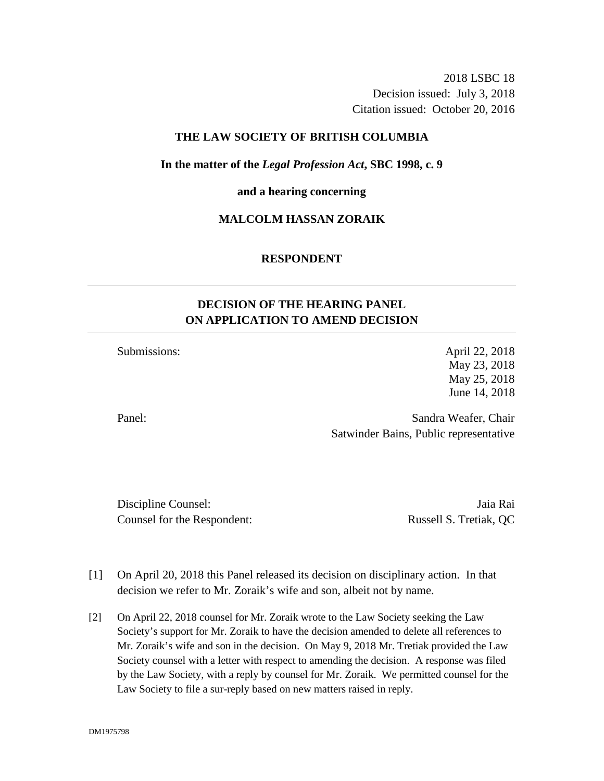2018 LSBC 18 Decision issued: July 3, 2018 Citation issued: October 20, 2016

## **THE LAW SOCIETY OF BRITISH COLUMBIA**

**In the matter of the** *Legal Profession Act***, SBC 1998, c. 9** 

**and a hearing concerning**

## **MALCOLM HASSAN ZORAIK**

## **RESPONDENT**

## **DECISION OF THE HEARING PANEL ON APPLICATION TO AMEND DECISION**

Submissions: April 22, 2018 May 23, 2018 May 25, 2018 June 14, 2018

Panel: Sandra Weafer, Chair Satwinder Bains, Public representative

Discipline Counsel: Jaia Rai Counsel for the Respondent: Russell S. Tretiak, QC

- [1] On April 20, 2018 this Panel released its decision on disciplinary action. In that decision we refer to Mr. Zoraik's wife and son, albeit not by name.
- [2] On April 22, 2018 counsel for Mr. Zoraik wrote to the Law Society seeking the Law Society's support for Mr. Zoraik to have the decision amended to delete all references to Mr. Zoraik's wife and son in the decision. On May 9, 2018 Mr. Tretiak provided the Law Society counsel with a letter with respect to amending the decision. A response was filed by the Law Society, with a reply by counsel for Mr. Zoraik. We permitted counsel for the Law Society to file a sur-reply based on new matters raised in reply.